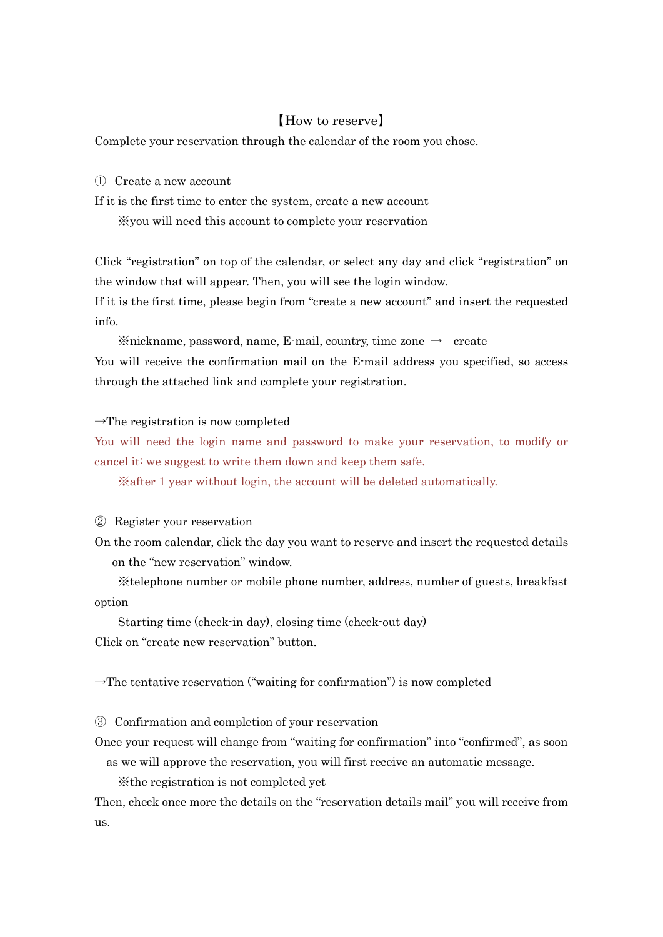## 【How to reserve】

Complete your reservation through the calendar of the room you chose.

① Create a new account

If it is the first time to enter the system, create a new account

※you will need this account to complete your reservation

Click "registration" on top of the calendar, or select any day and click "registration" on the window that will appear. Then, you will see the login window. If it is the first time, please begin from "create a new account" and insert the requested

info.

 $\frac{1}{2}$  mickname, password, name, E-mail, country, time zone  $\rightarrow$  create You will receive the confirmation mail on the E-mail address you specified, so access through the attached link and complete your registration.

## $\rightarrow$ The registration is now completed

You will need the login name and password to make your reservation, to modify or cancel it: we suggest to write them down and keep them safe.

※after 1 year without login, the account will be deleted automatically.

## ② Register your reservation

On the room calendar, click the day you want to reserve and insert the requested details on the "new reservation" window.

 ※telephone number or mobile phone number, address, number of guests, breakfast option

 Starting time (check-in day), closing time (check-out day) Click on "create new reservation" button.

 $\rightarrow$ The tentative reservation ("waiting for confirmation") is now completed

③ Confirmation and completion of your reservation

Once your request will change from "waiting for confirmation" into "confirmed", as soon as we will approve the reservation, you will first receive an automatic message.

※the registration is not completed yet

Then, check once more the details on the "reservation details mail" you will receive from  $_{11S}$